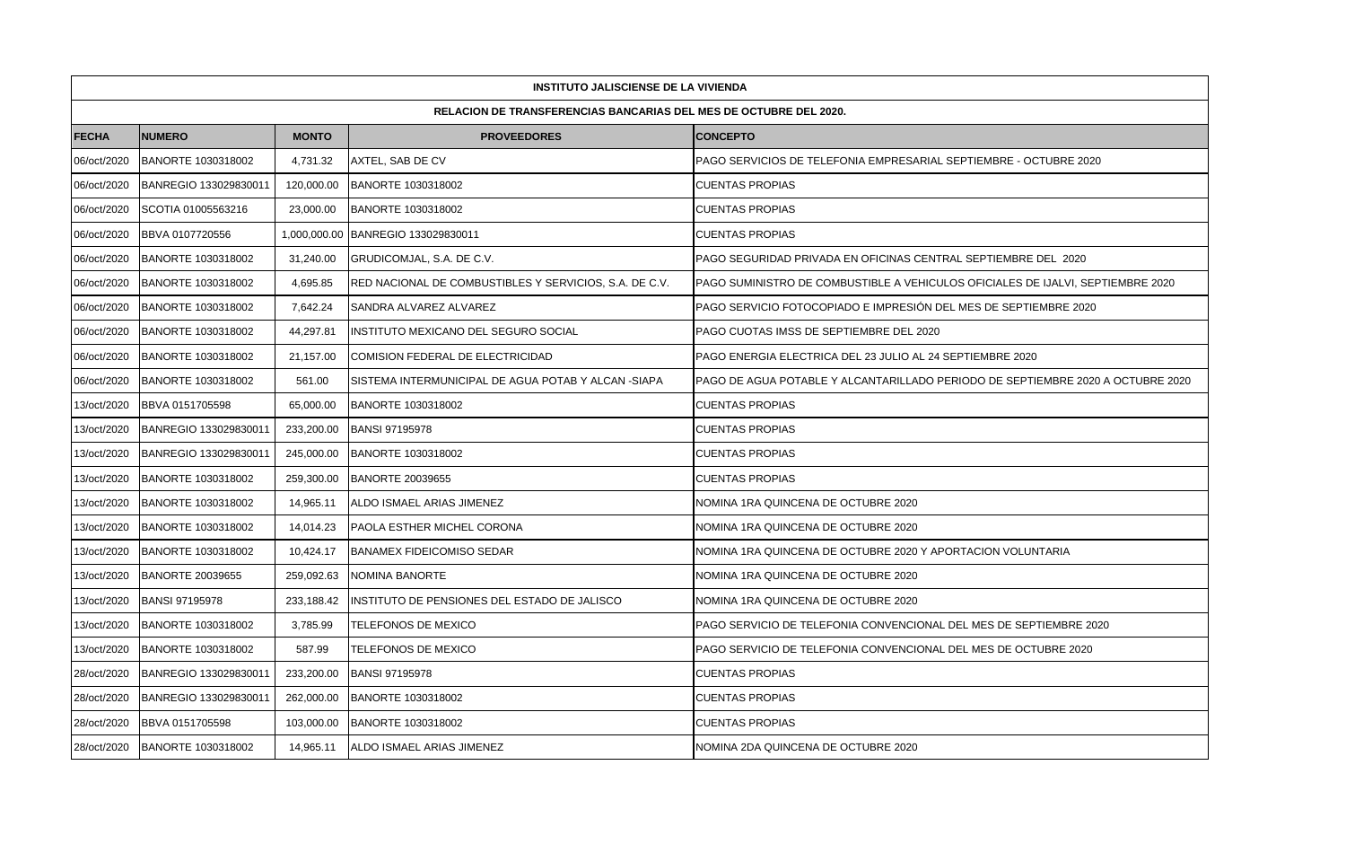| <b>INSTITUTO JALISCIENSE DE LA VIVIENDA</b> |                                                                          |              |                                                        |                                                                                 |  |  |  |
|---------------------------------------------|--------------------------------------------------------------------------|--------------|--------------------------------------------------------|---------------------------------------------------------------------------------|--|--|--|
|                                             | <b>RELACION DE TRANSFERENCIAS BANCARIAS DEL MES DE OCTUBRE DEL 2020.</b> |              |                                                        |                                                                                 |  |  |  |
| <b>FECHA</b>                                | <b>NUMERO</b>                                                            | <b>MONTO</b> | <b>PROVEEDORES</b>                                     | <b>CONCEPTO</b>                                                                 |  |  |  |
| 06/oct/2020                                 | <b>BANORTE 1030318002</b>                                                | 4,731.32     | AXTEL, SAB DE CV                                       | PAGO SERVICIOS DE TELEFONIA EMPRESARIAL SEPTIEMBRE - OCTUBRE 2020               |  |  |  |
| 06/oct/2020                                 | BANREGIO 133029830011                                                    | 120,000.00   | BANORTE 1030318002                                     | CUENTAS PROPIAS                                                                 |  |  |  |
| 06/oct/2020                                 | SCOTIA 01005563216                                                       | 23,000.00    | BANORTE 1030318002                                     | CUENTAS PROPIAS                                                                 |  |  |  |
| 06/oct/2020                                 | BBVA 0107720556                                                          | 1,000,000.00 | BANREGIO 133029830011                                  | <b>CUENTAS PROPIAS</b>                                                          |  |  |  |
| 06/oct/2020                                 | BANORTE 1030318002                                                       | 31,240.00    | GRUDICOMJAL, S.A. DE C.V.                              | PAGO SEGURIDAD PRIVADA EN OFICINAS CENTRAL SEPTIEMBRE DEL 2020                  |  |  |  |
| 06/oct/2020                                 | BANORTE 1030318002                                                       | 4.695.85     | RED NACIONAL DE COMBUSTIBLES Y SERVICIOS, S.A. DE C.V. | PAGO SUMINISTRO DE COMBUSTIBLE A VEHICULOS OFICIALES DE IJALVI. SEPTIEMBRE 2020 |  |  |  |
| 06/oct/2020                                 | BANORTE 1030318002                                                       | 7,642.24     | SANDRA ALVAREZ ALVAREZ                                 | PAGO SERVICIO FOTOCOPIADO E IMPRESIÓN DEL MES DE SEPTIEMBRE 2020                |  |  |  |
| 06/oct/2020                                 | BANORTE 1030318002                                                       | 44,297.81    | INSTITUTO MEXICANO DEL SEGURO SOCIAL                   | PAGO CUOTAS IMSS DE SEPTIEMBRE DEL 2020                                         |  |  |  |
| 06/oct/2020                                 | BANORTE 1030318002                                                       | 21,157.00    | COMISION FEDERAL DE ELECTRICIDAD                       | PAGO ENERGIA ELECTRICA DEL 23 JULIO AL 24 SEPTIEMBRE 2020                       |  |  |  |
| 06/oct/2020                                 | BANORTE 1030318002                                                       | 561.00       | SISTEMA INTERMUNICIPAL DE AGUA POTAB Y ALCAN -SIAPA    | PAGO DE AGUA POTABLE Y ALCANTARILLADO PERIODO DE SEPTIEMBRE 2020 A OCTUBRE 2020 |  |  |  |
| 13/oct/2020                                 | BBVA 0151705598                                                          | 65,000.00    | BANORTE 1030318002                                     | <b>CUENTAS PROPIAS</b>                                                          |  |  |  |
| 13/oct/2020                                 | BANREGIO 133029830011                                                    | 233,200.00   | <b>BANSI 97195978</b>                                  | <b>CUENTAS PROPIAS</b>                                                          |  |  |  |
| 13/oct/2020                                 | BANREGIO 133029830011                                                    | 245,000.00   | BANORTE 1030318002                                     | <b>CUENTAS PROPIAS</b>                                                          |  |  |  |
| 13/oct/2020                                 | BANORTE 1030318002                                                       | 259,300.00   | <b>BANORTE 20039655</b>                                | <b>CUENTAS PROPIAS</b>                                                          |  |  |  |
| 13/oct/2020                                 | BANORTE 1030318002                                                       | 14,965.11    | ALDO ISMAEL ARIAS JIMENEZ                              | NOMINA 1RA QUINCENA DE OCTUBRE 2020                                             |  |  |  |
| 13/oct/2020                                 | <b>BANORTE 1030318002</b>                                                | 14,014.23    | PAOLA ESTHER MICHEL CORONA                             | NOMINA 1RA QUINCENA DE OCTUBRE 2020                                             |  |  |  |
| 13/oct/2020                                 | <b>BANORTE 1030318002</b>                                                | 10,424.17    | <b>BANAMEX FIDEICOMISO SEDAR</b>                       | NOMINA 1RA QUINCENA DE OCTUBRE 2020 Y APORTACION VOLUNTARIA                     |  |  |  |
| 13/oct/2020                                 | <b>BANORTE 20039655</b>                                                  | 259,092.63   | NOMINA BANORTE                                         | NOMINA 1RA QUINCENA DE OCTUBRE 2020                                             |  |  |  |
| 13/oct/2020                                 | <b>BANSI 97195978</b>                                                    | 233,188.42   | INSTITUTO DE PENSIONES DEL ESTADO DE JALISCO           | NOMINA 1RA QUINCENA DE OCTUBRE 2020                                             |  |  |  |
| 13/oct/2020                                 | BANORTE 1030318002                                                       | 3,785.99     | TELEFONOS DE MEXICO                                    | PAGO SERVICIO DE TELEFONIA CONVENCIONAL DEL MES DE SEPTIEMBRE 2020              |  |  |  |
| 13/oct/2020                                 | <b>BANORTE 1030318002</b>                                                | 587.99       | <b>TELEFONOS DE MEXICO</b>                             | PAGO SERVICIO DE TELEFONIA CONVENCIONAL DEL MES DE OCTUBRE 2020                 |  |  |  |
| 28/oct/2020                                 | BANREGIO 133029830011                                                    | 233,200.00   | <b>BANSI 97195978</b>                                  | <b>CUENTAS PROPIAS</b>                                                          |  |  |  |
| 28/oct/2020                                 | BANREGIO 133029830011                                                    | 262,000.00   | BANORTE 1030318002                                     | <b>CUENTAS PROPIAS</b>                                                          |  |  |  |
| 28/oct/2020                                 | BBVA 0151705598                                                          | 103,000.00   | BANORTE 1030318002                                     | CUENTAS PROPIAS                                                                 |  |  |  |
| 28/oct/2020                                 | <b>BANORTE 1030318002</b>                                                | 14,965.11    | ALDO ISMAEL ARIAS JIMENEZ                              | NOMINA 2DA QUINCENA DE OCTUBRE 2020                                             |  |  |  |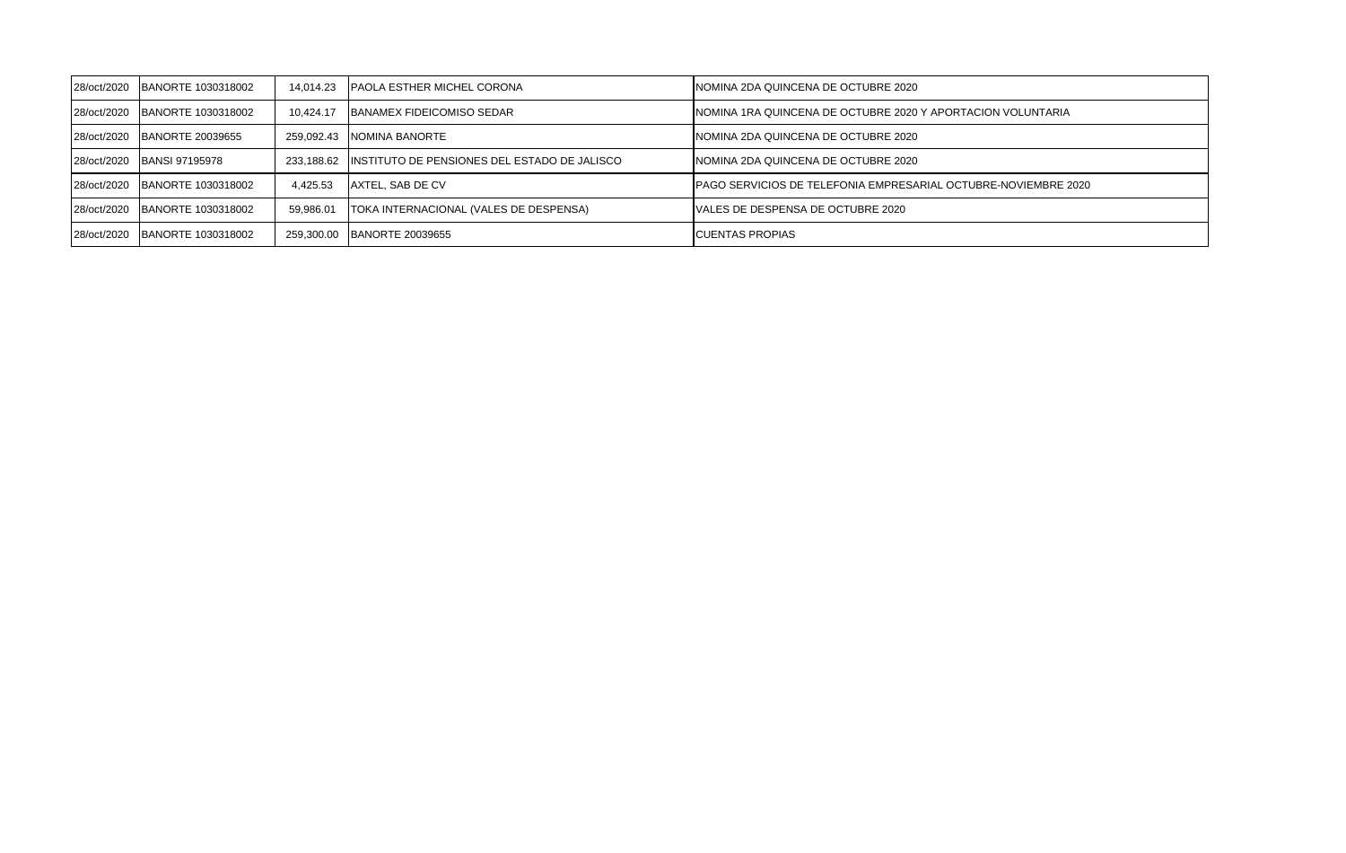| 28/oct/2020 | BANORTE 1030318002 | 14.014.23  | <b>IPAOLA ESTHER MICHEL CORONA</b>                      | INOMINA 2DA QUINCENA DE OCTUBRE 2020                                   |
|-------------|--------------------|------------|---------------------------------------------------------|------------------------------------------------------------------------|
| 28/oct/2020 | BANORTE 1030318002 | 10.424.17  | <b>IBANAMEX FIDEICOMISO SEDAR</b>                       | INOMINA 1RA QUINCENA DE OCTUBRE 2020 Y APORTACION VOLUNTARIA           |
| 28/oct/2020 | BANORTE 20039655   | 259.092.43 | INOMINA BANORTE                                         | INOMINA 2DA QUINCENA DE OCTUBRE 2020                                   |
| 28/oct/2020 | BANSI 97195978     |            | 233,188.62 INSTITUTO DE PENSIONES DEL ESTADO DE JALISCO | INOMINA 2DA QUINCENA DE OCTUBRE 2020                                   |
| 28/oct/2020 | BANORTE 1030318002 | 4.425.53   | <b>JAXTEL, SAB DE CV</b>                                | <b>IPAGO SERVICIOS DE TELEFONIA EMPRESARIAL OCTUBRE-NOVIEMBRE 2020</b> |
| 28/oct/2020 | BANORTE 1030318002 | 59.986.01  | TOKA INTERNACIONAL (VALES DE DESPENSA)                  | VALES DE DESPENSA DE OCTUBRE 2020                                      |
| 28/oct/2020 | BANORTE 1030318002 | 259.300.00 | <b>BANORTE 20039655</b>                                 | <b>ICUENTAS PROPIAS</b>                                                |